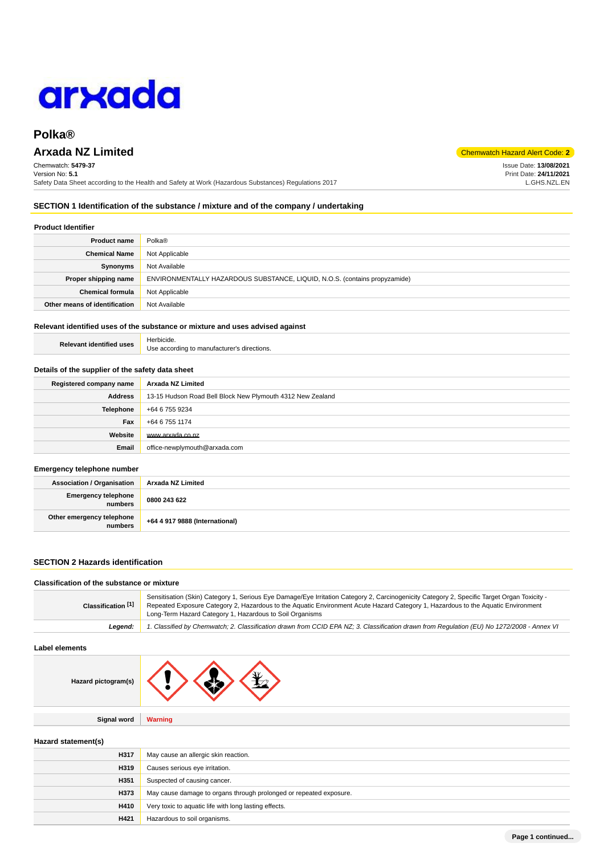# arxada

# **Polka®**

# **Arxada NZ Limited** Chemwatch Hazard Alert Code: **2**

Chemwatch: **5479-37** Version No: **5.1** Safety Data Sheet according to the Health and Safety at Work (Hazardous Substances) Regulations 2017

#### **SECTION 1 Identification of the substance / mixture and of the company / undertaking**

#### **Product Identifier**

| <b>Product name</b>           | Polka <sup>®</sup>                                                         |
|-------------------------------|----------------------------------------------------------------------------|
| <b>Chemical Name</b>          | Not Applicable                                                             |
| <b>Synonyms</b>               | Not Available                                                              |
| Proper shipping name          | ENVIRONMENTALLY HAZARDOUS SUBSTANCE, LIQUID, N.O.S. (contains propyzamide) |
| <b>Chemical formula</b>       | Not Applicable                                                             |
| Other means of identification | Not Available                                                              |

#### **Relevant identified uses of the substance or mixture and uses advised against**

| <b>Relevant identified uses</b> | Herbicide.                                  |
|---------------------------------|---------------------------------------------|
|                                 | Use according to manufacturer's directions. |

#### **Details of the supplier of the safety data sheet**

| Registered company name | Arxada NZ Limited                                          |
|-------------------------|------------------------------------------------------------|
| <b>Address</b>          | 13-15 Hudson Road Bell Block New Plymouth 4312 New Zealand |
| <b>Telephone</b>        | +64 6 755 9234                                             |
| Fax                     | +64 6 755 1174                                             |
| Website                 | www.arxada.co.nz                                           |
| Email                   | office-newplymouth@arxada.com                              |

#### **Emergency telephone number**

| <b>Association / Organisation</b>    | Arxada NZ Limited              |
|--------------------------------------|--------------------------------|
| Emergency telephone<br>numbers       | 0800 243 622                   |
| Other emergency telephone<br>numbers | +64 4 917 9888 (International) |

#### **SECTION 2 Hazards identification**

#### **Classification of the substance or mixture**

| Classification [1] | Sensitisation (Skin) Category 1, Serious Eye Damage/Eye Irritation Category 2, Carcinogenicity Category 2, Specific Target Organ Toxicity -<br>Repeated Exposure Category 2, Hazardous to the Aquatic Environment Acute Hazard Category 1, Hazardous to the Aquatic Environment<br>Long-Term Hazard Category 1, Hazardous to Soil Organisms |
|--------------------|---------------------------------------------------------------------------------------------------------------------------------------------------------------------------------------------------------------------------------------------------------------------------------------------------------------------------------------------|
| Leaend:            | 1. Classified by Chemwatch; 2. Classification drawn from CCID EPA NZ; 3. Classification drawn from Requlation (EU) No 1272/2008 - Annex VI                                                                                                                                                                                                  |

#### **Label elements**

| Hazard pictogram(s) |  |  |  |
|---------------------|--|--|--|
|---------------------|--|--|--|

 $\overline{1}$ 

## **Hazard statement(s)**

| H317 | May cause an allergic skin reaction.                               |
|------|--------------------------------------------------------------------|
| H319 | Causes serious eye irritation.                                     |
| H351 | Suspected of causing cancer.                                       |
| H373 | May cause damage to organs through prolonged or repeated exposure. |
| H410 | Very toxic to aquatic life with long lasting effects.              |
| H421 | Hazardous to soil organisms.                                       |

Issue Date: **13/08/2021** Print Date: **24/11/2021** L.GHS.NZL.EN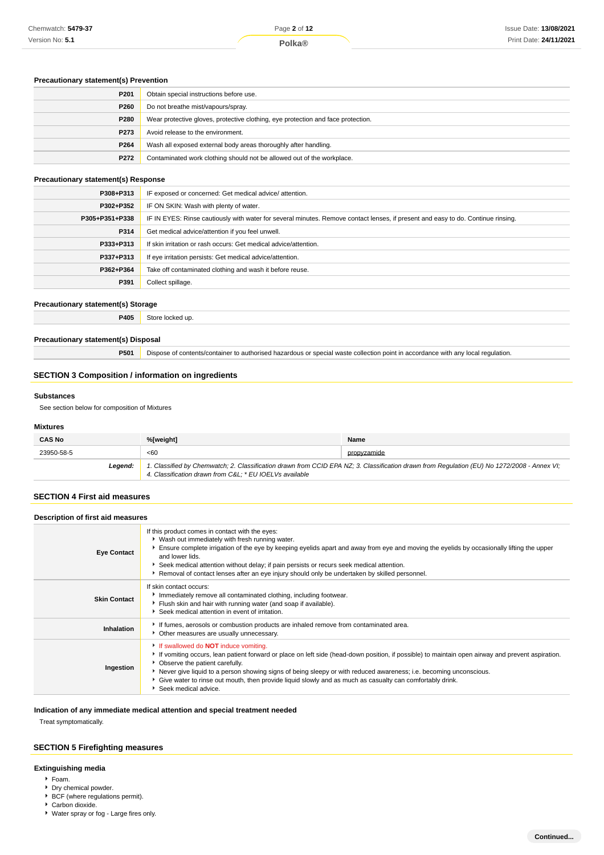#### Issue Date: **13/08/2021** Print Date: **24/11/2021**

#### **Precautionary statement(s) Prevention**

| P <sub>201</sub> | Obtain special instructions before use.                                          |
|------------------|----------------------------------------------------------------------------------|
| P260             | Do not breathe mist/vapours/spray.                                               |
| P280             | Wear protective gloves, protective clothing, eye protection and face protection. |
| P <sub>273</sub> | Avoid release to the environment.                                                |
| P264             | Wash all exposed external body areas thoroughly after handling.                  |
| P272             | Contaminated work clothing should not be allowed out of the workplace.           |

#### **Precautionary statement(s) Response**

| P308+P313      | IF exposed or concerned: Get medical advice/attention.                                                                           |
|----------------|----------------------------------------------------------------------------------------------------------------------------------|
| P302+P352      | IF ON SKIN: Wash with plenty of water.                                                                                           |
| P305+P351+P338 | IF IN EYES: Rinse cautiously with water for several minutes. Remove contact lenses, if present and easy to do. Continue rinsing. |
| P314           | Get medical advice/attention if you feel unwell.                                                                                 |
| P333+P313      | If skin irritation or rash occurs: Get medical advice/attention.                                                                 |
| P337+P313      | If eye irritation persists: Get medical advice/attention.                                                                        |
| P362+P364      | Take off contaminated clothing and wash it before reuse.                                                                         |
| P391           | Collect spillage.                                                                                                                |

#### **Precautionary statement(s) Storage**

**P405** Store locked up.

#### **Precautionary statement(s) Disposal**

**P501** Dispose of contents/container to authorised hazardous or special waste collection point in accordance with any local regulation.

#### **SECTION 3 Composition / information on ingredients**

#### **Substances**

See section below for composition of Mixtures

#### **Mixtures**

| <b>CAS No</b> | %[weight]                                              | Name                                                                                                                                        |
|---------------|--------------------------------------------------------|---------------------------------------------------------------------------------------------------------------------------------------------|
| 23950-58-5    | < 60                                                   | propyzamide                                                                                                                                 |
| Leaend:       | 4. Classification drawn from C&L * EU IOELVs available | 1. Classified by Chemwatch; 2. Classification drawn from CCID EPA NZ; 3. Classification drawn from Regulation (EU) No 1272/2008 - Annex VI; |

#### **SECTION 4 First aid measures**

| Description of first aid measures |                                                                                                                                                                                                                                                                                                                                                                                                                                                                                            |  |
|-----------------------------------|--------------------------------------------------------------------------------------------------------------------------------------------------------------------------------------------------------------------------------------------------------------------------------------------------------------------------------------------------------------------------------------------------------------------------------------------------------------------------------------------|--|
| <b>Eye Contact</b>                | If this product comes in contact with the eyes:<br>• Wash out immediately with fresh running water.<br>Ensure complete irrigation of the eye by keeping eyelids apart and away from eye and moving the eyelids by occasionally lifting the upper<br>and lower lids.<br>Seek medical attention without delay; if pain persists or recurs seek medical attention.<br>Removal of contact lenses after an eye injury should only be undertaken by skilled personnel.                           |  |
| <b>Skin Contact</b>               | If skin contact occurs:<br>Immediately remove all contaminated clothing, including footwear.<br>Flush skin and hair with running water (and soap if available).<br>Seek medical attention in event of irritation.                                                                                                                                                                                                                                                                          |  |
| Inhalation                        | If fumes, aerosols or combustion products are inhaled remove from contaminated area.<br>Other measures are usually unnecessary.                                                                                                                                                                                                                                                                                                                                                            |  |
| Ingestion                         | If swallowed do <b>NOT</b> induce vomiting.<br>If vomiting occurs, lean patient forward or place on left side (head-down position, if possible) to maintain open airway and prevent aspiration.<br>Observe the patient carefully.<br>Never give liquid to a person showing signs of being sleepy or with reduced awareness; i.e. becoming unconscious.<br>Give water to rinse out mouth, then provide liquid slowly and as much as casualty can comfortably drink.<br>Seek medical advice. |  |

#### **Indication of any immediate medical attention and special treatment needed**

Treat symptomatically.

#### **SECTION 5 Firefighting measures**

#### **Extinguishing media**

- Foam.
	- Dry chemical powder.
	- BCF (where regulations permit).
- Carbon dioxide.
- Water spray or fog Large fires only.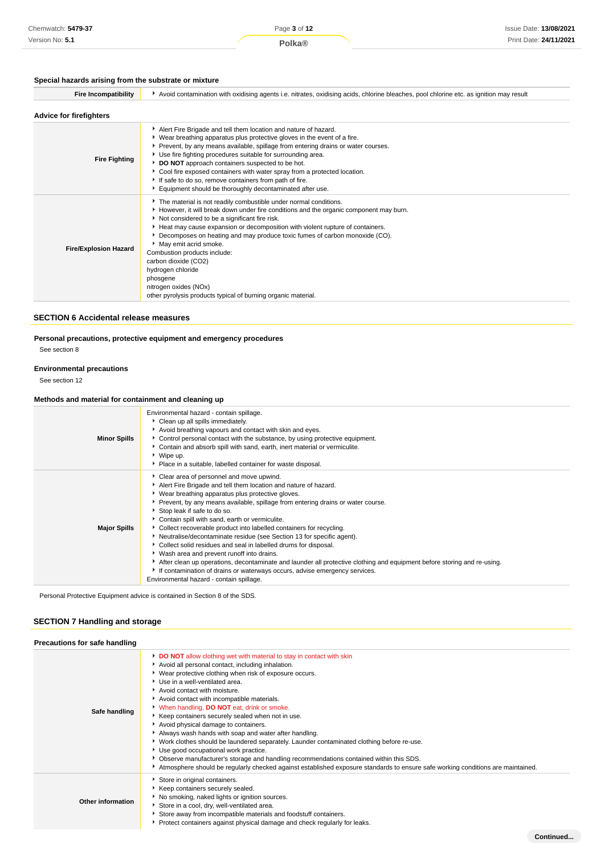#### **Special hazards arising from the substrate or mixture**

| <b>Fire Incompatibility</b>    | Avoid contamination with oxidising agents i.e. nitrates, oxidising acids, chlorine bleaches, pool chlorine etc. as ignition may result                                                                                                                                                                                                                                                                                                                                                                                                                                                |
|--------------------------------|---------------------------------------------------------------------------------------------------------------------------------------------------------------------------------------------------------------------------------------------------------------------------------------------------------------------------------------------------------------------------------------------------------------------------------------------------------------------------------------------------------------------------------------------------------------------------------------|
| <b>Advice for firefighters</b> |                                                                                                                                                                                                                                                                                                                                                                                                                                                                                                                                                                                       |
| <b>Fire Fighting</b>           | Alert Fire Brigade and tell them location and nature of hazard.<br>▶ Wear breathing apparatus plus protective gloves in the event of a fire.<br>Prevent, by any means available, spillage from entering drains or water courses.<br>Use fire fighting procedures suitable for surrounding area.<br>DO NOT approach containers suspected to be hot.<br>Cool fire exposed containers with water spray from a protected location.<br>If safe to do so, remove containers from path of fire.<br>Equipment should be thoroughly decontaminated after use.                                  |
| <b>Fire/Explosion Hazard</b>   | The material is not readily combustible under normal conditions.<br>However, it will break down under fire conditions and the organic component may burn.<br>Not considered to be a significant fire risk.<br>Heat may cause expansion or decomposition with violent rupture of containers.<br>Decomposes on heating and may produce toxic fumes of carbon monoxide (CO).<br>May emit acrid smoke.<br>Combustion products include:<br>carbon dioxide (CO2)<br>hydrogen chloride<br>phosgene<br>nitrogen oxides (NOx)<br>other pyrolysis products typical of burning organic material. |

#### **SECTION 6 Accidental release measures**

**Personal precautions, protective equipment and emergency procedures**

See section 8

#### **Environmental precautions**

See section 12

#### **Methods and material for containment and cleaning up**

| Environmental hazard - contain spillage.<br>Clean up all spills immediately.<br>Avoid breathing vapours and contact with skin and eyes.<br><b>Minor Spills</b><br>Control personal contact with the substance, by using protective equipment.<br>Contain and absorb spill with sand, earth, inert material or vermiculite.<br>▶ Wipe up.<br>• Place in a suitable, labelled container for waste disposal.<br>Clear area of personnel and move upwind.<br>Alert Fire Brigade and tell them location and nature of hazard.<br>Wear breathing apparatus plus protective gloves.<br>Prevent, by any means available, spillage from entering drains or water course.<br>Stop leak if safe to do so.<br>Contain spill with sand, earth or vermiculite.<br><b>Major Spills</b><br>Collect recoverable product into labelled containers for recycling.<br>• Neutralise/decontaminate residue (see Section 13 for specific agent).<br>Collect solid residues and seal in labelled drums for disposal.<br>▶ Wash area and prevent runoff into drains.<br>After clean up operations, decontaminate and launder all protective clothing and equipment before storing and re-using.<br>If contamination of drains or waterways occurs, advise emergency services.<br>Environmental hazard - contain spillage. |  |
|--------------------------------------------------------------------------------------------------------------------------------------------------------------------------------------------------------------------------------------------------------------------------------------------------------------------------------------------------------------------------------------------------------------------------------------------------------------------------------------------------------------------------------------------------------------------------------------------------------------------------------------------------------------------------------------------------------------------------------------------------------------------------------------------------------------------------------------------------------------------------------------------------------------------------------------------------------------------------------------------------------------------------------------------------------------------------------------------------------------------------------------------------------------------------------------------------------------------------------------------------------------------------------------------------|--|
|                                                                                                                                                                                                                                                                                                                                                                                                                                                                                                                                                                                                                                                                                                                                                                                                                                                                                                                                                                                                                                                                                                                                                                                                                                                                                                  |  |
|                                                                                                                                                                                                                                                                                                                                                                                                                                                                                                                                                                                                                                                                                                                                                                                                                                                                                                                                                                                                                                                                                                                                                                                                                                                                                                  |  |

Personal Protective Equipment advice is contained in Section 8 of the SDS.

#### **SECTION 7 Handling and storage**

| Precautions for safe handling |                                                                                                                                                                                                                                                                                                                                                                                                                                                                                                                                                                                                                                                                                                                                                                                                                                                                                  |
|-------------------------------|----------------------------------------------------------------------------------------------------------------------------------------------------------------------------------------------------------------------------------------------------------------------------------------------------------------------------------------------------------------------------------------------------------------------------------------------------------------------------------------------------------------------------------------------------------------------------------------------------------------------------------------------------------------------------------------------------------------------------------------------------------------------------------------------------------------------------------------------------------------------------------|
| Safe handling                 | DO NOT allow clothing wet with material to stay in contact with skin<br>Avoid all personal contact, including inhalation.<br>▶ Wear protective clothing when risk of exposure occurs.<br>Use in a well-ventilated area.<br>Avoid contact with moisture.<br>Avoid contact with incompatible materials.<br>When handling, DO NOT eat, drink or smoke.<br>▶ Keep containers securely sealed when not in use.<br>Avoid physical damage to containers.<br>Always wash hands with soap and water after handling.<br>▶ Work clothes should be laundered separately. Launder contaminated clothing before re-use.<br>Use good occupational work practice.<br>• Observe manufacturer's storage and handling recommendations contained within this SDS.<br>Atmosphere should be regularly checked against established exposure standards to ensure safe working conditions are maintained. |
| Other information             | Store in original containers.<br>Keep containers securely sealed.<br>No smoking, naked lights or ignition sources.<br>Store in a cool, dry, well-ventilated area.<br>Store away from incompatible materials and foodstuff containers.<br>Protect containers against physical damage and check regularly for leaks.                                                                                                                                                                                                                                                                                                                                                                                                                                                                                                                                                               |
|                               | Continued                                                                                                                                                                                                                                                                                                                                                                                                                                                                                                                                                                                                                                                                                                                                                                                                                                                                        |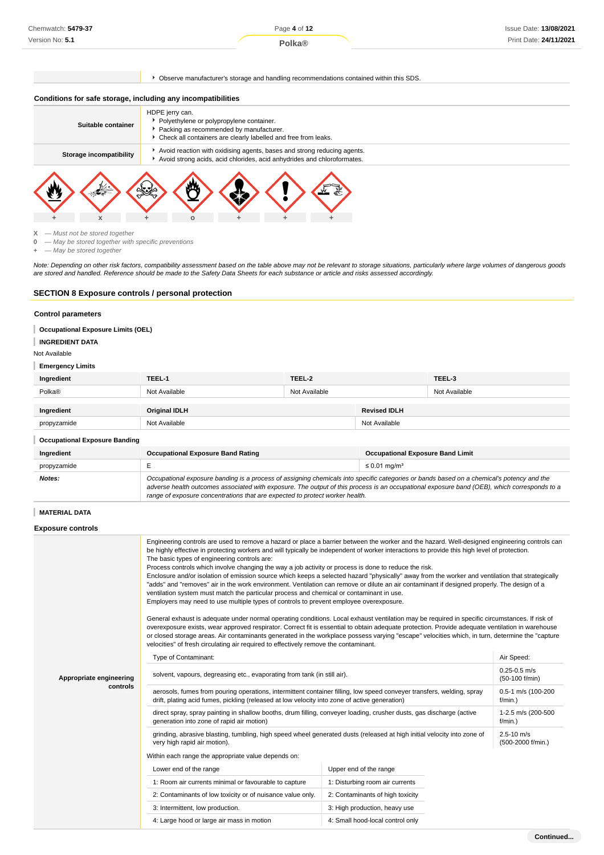#### **Polka®**

Observe manufacturer's storage and handling recommendations contained within this SDS.

#### **Conditions for safe storage, including any incompatibilities**



 $X -$ Must not be stored together<br>0  $-$  May be stored together with

**0** — May be stored together with specific preventions

**+** — May be stored together

Note: Depending on other risk factors, compatibility assessment based on the table above may not be relevant to storage situations, particularly where large volumes of dangerous goods are stored and handled. Reference should be made to the Safety Data Sheets for each substance or article and risks assessed accordingly.

#### **SECTION 8 Exposure controls / personal protection**

**+ x + o + + +**

#### **Control parameters**

**Occupational Exposure Limits (OEL)**

#### **INGREDIENT DATA** ī

Not Available

#### **Emergency Limits**

| Ingredient  | TEEL-1               | TEEL-2        |                     | TEEL-3        |
|-------------|----------------------|---------------|---------------------|---------------|
| Polka®      | Not Available        | Not Available |                     | Not Available |
|             |                      |               |                     |               |
| Ingredient  | <b>Original IDLH</b> |               | <b>Revised IDLH</b> |               |
| propyzamide | Not Available        |               | Not Available       |               |

#### **Occupational Exposure Banding**

| Ingredient  | <b>Occupational Exposure Band Rating</b>                                                                                                                                                                                                                                                                                                                                 | <b>Occupational Exposure Band Limit</b> |
|-------------|--------------------------------------------------------------------------------------------------------------------------------------------------------------------------------------------------------------------------------------------------------------------------------------------------------------------------------------------------------------------------|-----------------------------------------|
| propyzamide |                                                                                                                                                                                                                                                                                                                                                                          | $\leq 0.01$ mg/m <sup>3</sup>           |
| Notes:      | Occupational exposure banding is a process of assigning chemicals into specific categories or bands based on a chemical's potency and the<br>adverse health outcomes associated with exposure. The output of this process is an occupational exposure band (OEB), which corresponds to a<br>range of exposure concentrations that are expected to protect worker health. |                                         |

#### **MATERIAL DATA**

**Exposure controls**

|                         | Engineering controls are used to remove a hazard or place a barrier between the worker and the hazard. Well-designed engineering controls can<br>be highly effective in protecting workers and will typically be independent of worker interactions to provide this high level of protection.<br>The basic types of engineering controls are:<br>Process controls which involve changing the way a job activity or process is done to reduce the risk.<br>Enclosure and/or isolation of emission source which keeps a selected hazard "physically" away from the worker and ventilation that strategically<br>"adds" and "removes" air in the work environment. Ventilation can remove or dilute an air contaminant if designed properly. The design of a<br>ventilation system must match the particular process and chemical or contaminant in use.<br>Employers may need to use multiple types of controls to prevent employee overexposure.<br>General exhaust is adequate under normal operating conditions. Local exhaust ventilation may be required in specific circumstances. If risk of<br>overexposure exists, wear approved respirator. Correct fit is essential to obtain adequate protection. Provide adequate ventilation in warehouse<br>or closed storage areas. Air contaminants generated in the workplace possess varying "escape" velocities which, in turn, determine the "capture<br>velocities" of fresh circulating air required to effectively remove the contaminant. |                                    |                                     |  |
|-------------------------|--------------------------------------------------------------------------------------------------------------------------------------------------------------------------------------------------------------------------------------------------------------------------------------------------------------------------------------------------------------------------------------------------------------------------------------------------------------------------------------------------------------------------------------------------------------------------------------------------------------------------------------------------------------------------------------------------------------------------------------------------------------------------------------------------------------------------------------------------------------------------------------------------------------------------------------------------------------------------------------------------------------------------------------------------------------------------------------------------------------------------------------------------------------------------------------------------------------------------------------------------------------------------------------------------------------------------------------------------------------------------------------------------------------------------------------------------------------------------------------------------|------------------------------------|-------------------------------------|--|
|                         | Type of Contaminant:                                                                                                                                                                                                                                                                                                                                                                                                                                                                                                                                                                                                                                                                                                                                                                                                                                                                                                                                                                                                                                                                                                                                                                                                                                                                                                                                                                                                                                                                             |                                    | Air Speed:                          |  |
| Appropriate engineering | solvent, vapours, degreasing etc., evaporating from tank (in still air).                                                                                                                                                                                                                                                                                                                                                                                                                                                                                                                                                                                                                                                                                                                                                                                                                                                                                                                                                                                                                                                                                                                                                                                                                                                                                                                                                                                                                         | $0.25 - 0.5$ m/s<br>(50-100 f/min) |                                     |  |
| controls                | aerosols, fumes from pouring operations, intermittent container filling, low speed conveyer transfers, welding, spray<br>drift, plating acid fumes, pickling (released at low velocity into zone of active generation)                                                                                                                                                                                                                                                                                                                                                                                                                                                                                                                                                                                                                                                                                                                                                                                                                                                                                                                                                                                                                                                                                                                                                                                                                                                                           | 0.5-1 m/s (100-200<br>$f/min.$ )   |                                     |  |
|                         | direct spray, spray painting in shallow booths, drum filling, conveyer loading, crusher dusts, gas discharge (active<br>generation into zone of rapid air motion)                                                                                                                                                                                                                                                                                                                                                                                                                                                                                                                                                                                                                                                                                                                                                                                                                                                                                                                                                                                                                                                                                                                                                                                                                                                                                                                                | 1-2.5 m/s (200-500<br>$f/min.$ )   |                                     |  |
|                         | grinding, abrasive blasting, tumbling, high speed wheel generated dusts (released at high initial velocity into zone of<br>very high rapid air motion).                                                                                                                                                                                                                                                                                                                                                                                                                                                                                                                                                                                                                                                                                                                                                                                                                                                                                                                                                                                                                                                                                                                                                                                                                                                                                                                                          |                                    | $2.5 - 10$ m/s<br>(500-2000 f/min.) |  |
|                         | Within each range the appropriate value depends on:                                                                                                                                                                                                                                                                                                                                                                                                                                                                                                                                                                                                                                                                                                                                                                                                                                                                                                                                                                                                                                                                                                                                                                                                                                                                                                                                                                                                                                              |                                    |                                     |  |
|                         | Lower end of the range                                                                                                                                                                                                                                                                                                                                                                                                                                                                                                                                                                                                                                                                                                                                                                                                                                                                                                                                                                                                                                                                                                                                                                                                                                                                                                                                                                                                                                                                           | Upper end of the range             |                                     |  |
|                         | 1: Room air currents minimal or favourable to capture                                                                                                                                                                                                                                                                                                                                                                                                                                                                                                                                                                                                                                                                                                                                                                                                                                                                                                                                                                                                                                                                                                                                                                                                                                                                                                                                                                                                                                            | 1: Disturbing room air currents    |                                     |  |
|                         | 2: Contaminants of low toxicity or of nuisance value only.                                                                                                                                                                                                                                                                                                                                                                                                                                                                                                                                                                                                                                                                                                                                                                                                                                                                                                                                                                                                                                                                                                                                                                                                                                                                                                                                                                                                                                       | 2: Contaminants of high toxicity   |                                     |  |
|                         | 3: Intermittent, low production.                                                                                                                                                                                                                                                                                                                                                                                                                                                                                                                                                                                                                                                                                                                                                                                                                                                                                                                                                                                                                                                                                                                                                                                                                                                                                                                                                                                                                                                                 | 3: High production, heavy use      |                                     |  |
|                         | 4: Large hood or large air mass in motion                                                                                                                                                                                                                                                                                                                                                                                                                                                                                                                                                                                                                                                                                                                                                                                                                                                                                                                                                                                                                                                                                                                                                                                                                                                                                                                                                                                                                                                        | 4: Small hood-local control only   |                                     |  |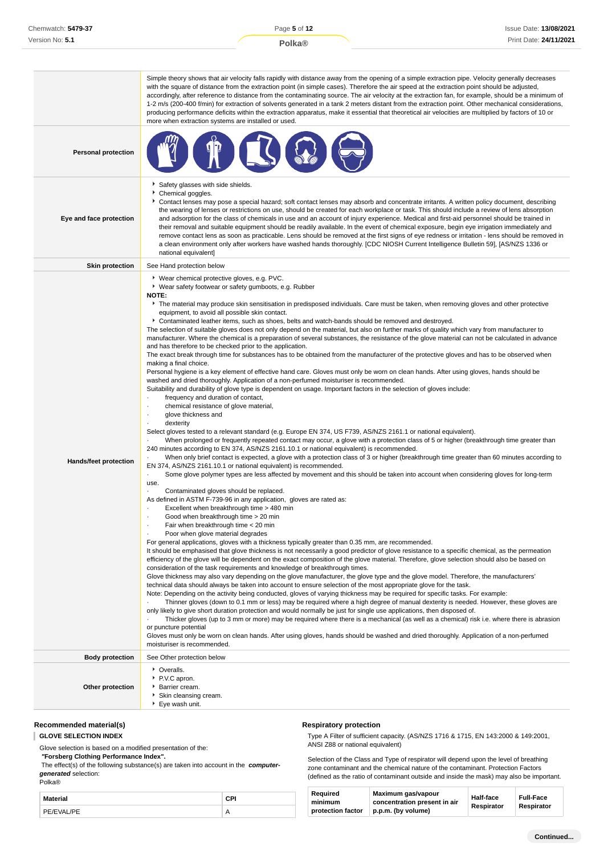|                            | Simple theory shows that air velocity falls rapidly with distance away from the opening of a simple extraction pipe. Velocity generally decreases<br>with the square of distance from the extraction point (in simple cases). Therefore the air speed at the extraction point should be adjusted,<br>accordingly, after reference to distance from the contaminating source. The air velocity at the extraction fan, for example, should be a minimum of<br>1-2 m/s (200-400 f/min) for extraction of solvents generated in a tank 2 meters distant from the extraction point. Other mechanical considerations,<br>producing performance deficits within the extraction apparatus, make it essential that theoretical air velocities are multiplied by factors of 10 or<br>more when extraction systems are installed or used.                                                                                                                                                                                                                                                                                                                                                                                                                                                                                                                                                                                                                                                                                                                                                                                                                                                                                                                                                                                                                                                                                                                                                                                                                                                                                                                                                                                                                                                                                                                                                                                                                                                                                                                                                                                                                                                                                                                                                                                                                                                                                                                                                                                                                                                                                                                                                                                                                                                                                                                                                                                                                                                                                                                                                                                                                                                                                                                                                                                                                                                                                                                                                                        |
|----------------------------|-------------------------------------------------------------------------------------------------------------------------------------------------------------------------------------------------------------------------------------------------------------------------------------------------------------------------------------------------------------------------------------------------------------------------------------------------------------------------------------------------------------------------------------------------------------------------------------------------------------------------------------------------------------------------------------------------------------------------------------------------------------------------------------------------------------------------------------------------------------------------------------------------------------------------------------------------------------------------------------------------------------------------------------------------------------------------------------------------------------------------------------------------------------------------------------------------------------------------------------------------------------------------------------------------------------------------------------------------------------------------------------------------------------------------------------------------------------------------------------------------------------------------------------------------------------------------------------------------------------------------------------------------------------------------------------------------------------------------------------------------------------------------------------------------------------------------------------------------------------------------------------------------------------------------------------------------------------------------------------------------------------------------------------------------------------------------------------------------------------------------------------------------------------------------------------------------------------------------------------------------------------------------------------------------------------------------------------------------------------------------------------------------------------------------------------------------------------------------------------------------------------------------------------------------------------------------------------------------------------------------------------------------------------------------------------------------------------------------------------------------------------------------------------------------------------------------------------------------------------------------------------------------------------------------------------------------------------------------------------------------------------------------------------------------------------------------------------------------------------------------------------------------------------------------------------------------------------------------------------------------------------------------------------------------------------------------------------------------------------------------------------------------------------------------------------------------------------------------------------------------------------------------------------------------------------------------------------------------------------------------------------------------------------------------------------------------------------------------------------------------------------------------------------------------------------------------------------------------------------------------------------------------------------------------------------------------------------------------------------------------------|
| <b>Personal protection</b> |                                                                                                                                                                                                                                                                                                                                                                                                                                                                                                                                                                                                                                                                                                                                                                                                                                                                                                                                                                                                                                                                                                                                                                                                                                                                                                                                                                                                                                                                                                                                                                                                                                                                                                                                                                                                                                                                                                                                                                                                                                                                                                                                                                                                                                                                                                                                                                                                                                                                                                                                                                                                                                                                                                                                                                                                                                                                                                                                                                                                                                                                                                                                                                                                                                                                                                                                                                                                                                                                                                                                                                                                                                                                                                                                                                                                                                                                                                                                                                                                       |
| Eye and face protection    | Safety glasses with side shields.<br>Chemical goggles.<br>▶ Contact lenses may pose a special hazard; soft contact lenses may absorb and concentrate irritants. A written policy document, describing<br>the wearing of lenses or restrictions on use, should be created for each workplace or task. This should include a review of lens absorption<br>and adsorption for the class of chemicals in use and an account of injury experience. Medical and first-aid personnel should be trained in<br>their removal and suitable equipment should be readily available. In the event of chemical exposure, begin eye irrigation immediately and<br>remove contact lens as soon as practicable. Lens should be removed at the first signs of eye redness or irritation - lens should be removed in<br>a clean environment only after workers have washed hands thoroughly. [CDC NIOSH Current Intelligence Bulletin 59], [AS/NZS 1336 or<br>national equivalent]                                                                                                                                                                                                                                                                                                                                                                                                                                                                                                                                                                                                                                                                                                                                                                                                                                                                                                                                                                                                                                                                                                                                                                                                                                                                                                                                                                                                                                                                                                                                                                                                                                                                                                                                                                                                                                                                                                                                                                                                                                                                                                                                                                                                                                                                                                                                                                                                                                                                                                                                                                                                                                                                                                                                                                                                                                                                                                                                                                                                                                       |
| <b>Skin protection</b>     | See Hand protection below                                                                                                                                                                                                                                                                                                                                                                                                                                                                                                                                                                                                                                                                                                                                                                                                                                                                                                                                                                                                                                                                                                                                                                                                                                                                                                                                                                                                                                                                                                                                                                                                                                                                                                                                                                                                                                                                                                                                                                                                                                                                                                                                                                                                                                                                                                                                                                                                                                                                                                                                                                                                                                                                                                                                                                                                                                                                                                                                                                                                                                                                                                                                                                                                                                                                                                                                                                                                                                                                                                                                                                                                                                                                                                                                                                                                                                                                                                                                                                             |
| Hands/feet protection      | ▶ Wear chemical protective gloves, e.g. PVC.<br>▶ Wear safety footwear or safety gumboots, e.g. Rubber<br><b>NOTE:</b><br>The material may produce skin sensitisation in predisposed individuals. Care must be taken, when removing gloves and other protective<br>equipment, to avoid all possible skin contact.<br>▶ Contaminated leather items, such as shoes, belts and watch-bands should be removed and destroyed.<br>The selection of suitable gloves does not only depend on the material, but also on further marks of quality which vary from manufacturer to<br>manufacturer. Where the chemical is a preparation of several substances, the resistance of the glove material can not be calculated in advance<br>and has therefore to be checked prior to the application.<br>The exact break through time for substances has to be obtained from the manufacturer of the protective gloves and has to be observed when<br>making a final choice.<br>Personal hygiene is a key element of effective hand care. Gloves must only be worn on clean hands. After using gloves, hands should be<br>washed and dried thoroughly. Application of a non-perfumed moisturiser is recommended.<br>Suitability and durability of glove type is dependent on usage. Important factors in the selection of gloves include:<br>frequency and duration of contact,<br>chemical resistance of glove material,<br>٠<br>glove thickness and<br>$\cdot$<br>dexterity<br>Select gloves tested to a relevant standard (e.g. Europe EN 374, US F739, AS/NZS 2161.1 or national equivalent).<br>When prolonged or frequently repeated contact may occur, a glove with a protection class of 5 or higher (breakthrough time greater than<br>240 minutes according to EN 374, AS/NZS 2161.10.1 or national equivalent) is recommended.<br>When only brief contact is expected, a glove with a protection class of 3 or higher (breakthrough time greater than 60 minutes according to<br>EN 374, AS/NZS 2161.10.1 or national equivalent) is recommended.<br>Some glove polymer types are less affected by movement and this should be taken into account when considering gloves for long-term<br>use.<br>Contaminated gloves should be replaced.<br>As defined in ASTM F-739-96 in any application, gloves are rated as:<br>Excellent when breakthrough time > 480 min<br>Good when breakthrough time > 20 min<br>Fair when breakthrough time < 20 min<br>$\cdot$<br>Poor when glove material degrades<br>For general applications, gloves with a thickness typically greater than 0.35 mm, are recommended.<br>It should be emphasised that glove thickness is not necessarily a good predictor of glove resistance to a specific chemical, as the permeation<br>efficiency of the glove will be dependent on the exact composition of the glove material. Therefore, glove selection should also be based on<br>consideration of the task requirements and knowledge of breakthrough times.<br>Glove thickness may also vary depending on the glove manufacturer, the glove type and the glove model. Therefore, the manufacturers'<br>technical data should always be taken into account to ensure selection of the most appropriate glove for the task.<br>Note: Depending on the activity being conducted, gloves of varying thickness may be required for specific tasks. For example:<br>Thinner gloves (down to 0.1 mm or less) may be required where a high degree of manual dexterity is needed. However, these gloves are<br>only likely to give short duration protection and would normally be just for single use applications, then disposed of.<br>Thicker gloves (up to 3 mm or more) may be required where there is a mechanical (as well as a chemical) risk i.e. where there is abrasion<br>or puncture potential<br>Gloves must only be worn on clean hands. After using gloves, hands should be washed and dried thoroughly. Application of a non-perfumed<br>moisturiser is recommended. |
| <b>Body protection</b>     | See Other protection below                                                                                                                                                                                                                                                                                                                                                                                                                                                                                                                                                                                                                                                                                                                                                                                                                                                                                                                                                                                                                                                                                                                                                                                                                                                                                                                                                                                                                                                                                                                                                                                                                                                                                                                                                                                                                                                                                                                                                                                                                                                                                                                                                                                                                                                                                                                                                                                                                                                                                                                                                                                                                                                                                                                                                                                                                                                                                                                                                                                                                                                                                                                                                                                                                                                                                                                                                                                                                                                                                                                                                                                                                                                                                                                                                                                                                                                                                                                                                                            |
| Other protection           | • Overalls.<br>P.V.C apron.<br>Barrier cream.<br>Skin cleansing cream.<br>▶ Eye wash unit.                                                                                                                                                                                                                                                                                                                                                                                                                                                                                                                                                                                                                                                                                                                                                                                                                                                                                                                                                                                                                                                                                                                                                                                                                                                                                                                                                                                                                                                                                                                                                                                                                                                                                                                                                                                                                                                                                                                                                                                                                                                                                                                                                                                                                                                                                                                                                                                                                                                                                                                                                                                                                                                                                                                                                                                                                                                                                                                                                                                                                                                                                                                                                                                                                                                                                                                                                                                                                                                                                                                                                                                                                                                                                                                                                                                                                                                                                                            |

#### **Recommended material(s)**

**GLOVE SELECTION INDEX**

Glove selection is based on a modified presentation of the:

 **"Forsberg Clothing Performance Index".**

 The effect(s) of the following substance(s) are taken into account in the **computergenerated** selection:

Polka®

| Material   |                           |
|------------|---------------------------|
| PE/FVAL/PE | $\mathsf{A}$<br>$\cdot$ . |

#### **Respiratory protection**

Type A Filter of sufficient capacity. (AS/NZS 1716 & 1715, EN 143:2000 & 149:2001, ANSI Z88 or national equivalent)

Selection of the Class and Type of respirator will depend upon the level of breathing zone contaminant and the chemical nature of the contaminant. Protection Factors (defined as the ratio of contaminant outside and inside the mask) may also be important.

| Reauired<br>minimum<br>protection factor | Maximum gas/vapour<br>concentration present in air<br>p.p.m. (by volume) | Half-face<br>Respirator | <b>Full-Face</b><br>Respirator |  |
|------------------------------------------|--------------------------------------------------------------------------|-------------------------|--------------------------------|--|
|------------------------------------------|--------------------------------------------------------------------------|-------------------------|--------------------------------|--|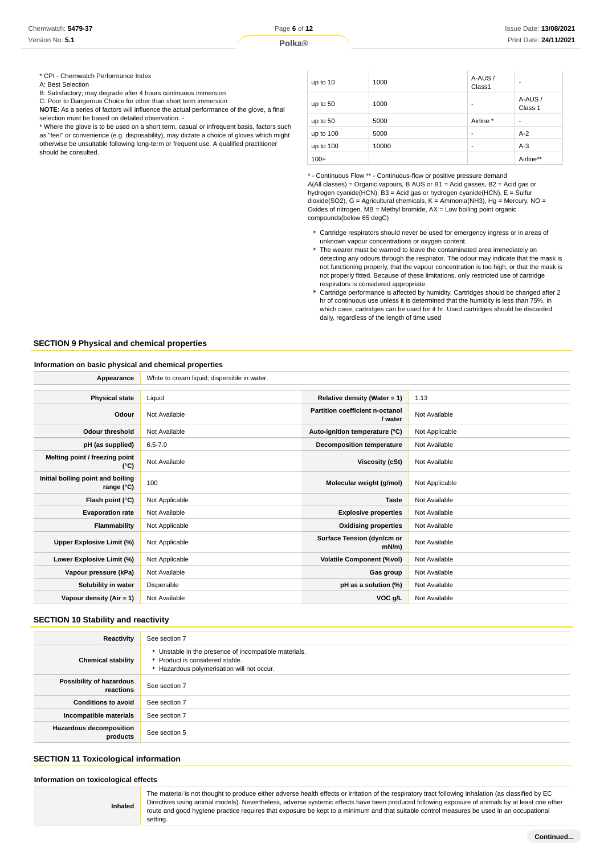\* CPI - Chemwatch Performance Index

A: Best Selection

B: Satisfactory; may degrade after 4 hours continuous immersion

C: Poor to Dangerous Choice for other than short term immersion

**NOTE**: As a series of factors will influence the actual performance of the glove, a final selection must be based on detailed observation. -

\* Where the glove is to be used on a short term, casual or infrequent basis, factors such as "feel" or convenience (e.g. disposability), may dictate a choice of gloves which might otherwise be unsuitable following long-term or frequent use. A qualified practitioner should be consulted.

| up to 10    | 1000  | A-AUS /<br>Class1 | ۰                 |
|-------------|-------|-------------------|-------------------|
| up to 50    | 1000  | ٠                 | A-AUS/<br>Class 1 |
| up to 50    | 5000  | Airline *         | ۰                 |
| up to $100$ | 5000  | ٠                 | $A-2$             |
| up to 100   | 10000 | ٠                 | $A-3$             |
| $100+$      |       |                   | Airline**         |

\* - Continuous Flow \*\* - Continuous-flow or positive pressure demand A(All classes) = Organic vapours, B AUS or B1 = Acid gasses, B2 = Acid gas or hydrogen cyanide(HCN), B3 = Acid gas or hydrogen cyanide(HCN), E = Sulfur dioxide(SO2), G = Agricultural chemicals, K = Ammonia(NH3), Hg = Mercury, NO = Oxides of nitrogen,  $MB =$  Methyl bromide,  $AX =$  Low boiling point organic compounds(below 65 degC)

- Cartridge respirators should never be used for emergency ingress or in areas of unknown vapour concentrations or oxygen content.
- $\blacktriangleright$  The wearer must be warned to leave the contaminated area immediately on detecting any odours through the respirator. The odour may indicate that the mask is not functioning properly, that the vapour concentration is too high, or that the mask is not properly fitted. Because of these limitations, only restricted use of cartridge respirators is considered appropriate.
- Cartridge performance is affected by humidity. Cartridges should be changed after 2 hr of continuous use unless it is determined that the humidity is less than 75%, in which case, cartridges can be used for 4 hr. Used cartridges should be discarded daily, regardless of the length of time used

#### **SECTION 9 Physical and chemical properties**

#### **Information on basic physical and chemical properties**

| Appearance                                      | White to cream liquid; dispersible in water. |                                            |                |
|-------------------------------------------------|----------------------------------------------|--------------------------------------------|----------------|
|                                                 |                                              |                                            |                |
| <b>Physical state</b>                           | Liquid                                       | Relative density (Water = 1)               | 1.13           |
| Odour                                           | Not Available                                | Partition coefficient n-octanol<br>/ water | Not Available  |
| <b>Odour threshold</b>                          | Not Available                                | Auto-ignition temperature (°C)             | Not Applicable |
| pH (as supplied)                                | $6.5 - 7.0$                                  | <b>Decomposition temperature</b>           | Not Available  |
| Melting point / freezing point<br>(°C)          | Not Available                                | Viscosity (cSt)                            | Not Available  |
| Initial boiling point and boiling<br>range (°C) | 100                                          | Molecular weight (g/mol)                   | Not Applicable |
| Flash point (°C)                                | Not Applicable                               | <b>Taste</b>                               | Not Available  |
| <b>Evaporation rate</b>                         | Not Available                                | <b>Explosive properties</b>                | Not Available  |
| Flammability                                    | Not Applicable                               | <b>Oxidising properties</b>                | Not Available  |
| Upper Explosive Limit (%)                       | Not Applicable                               | Surface Tension (dyn/cm or<br>$mN/m$ )     | Not Available  |
| Lower Explosive Limit (%)                       | Not Applicable                               | <b>Volatile Component (%vol)</b>           | Not Available  |
| Vapour pressure (kPa)                           | Not Available                                | Gas group                                  | Not Available  |
| Solubility in water                             | Dispersible                                  | pH as a solution (%)                       | Not Available  |
| Vapour density $(Air = 1)$                      | Not Available                                | VOC g/L                                    | Not Available  |

#### **SECTION 10 Stability and reactivity**

| Reactivity                                 | See section 7                                                                                                                      |
|--------------------------------------------|------------------------------------------------------------------------------------------------------------------------------------|
| <b>Chemical stability</b>                  | • Unstable in the presence of incompatible materials.<br>Product is considered stable.<br>Hazardous polymerisation will not occur. |
| Possibility of hazardous<br>reactions      | See section 7                                                                                                                      |
| <b>Conditions to avoid</b>                 | See section 7                                                                                                                      |
| Incompatible materials                     | See section 7                                                                                                                      |
| <b>Hazardous decomposition</b><br>products | See section 5                                                                                                                      |

#### **SECTION 11 Toxicological information**

**Inhaled**

**Information on toxicological effects**

The material is not thought to produce either adverse health effects or irritation of the respiratory tract following inhalation (as classified by EC Directives using animal models). Nevertheless, adverse systemic effects have been produced following exposure of animals by at least one other route and good hygiene practice requires that exposure be kept to a minimum and that suitable control measures be used in an occupational setting.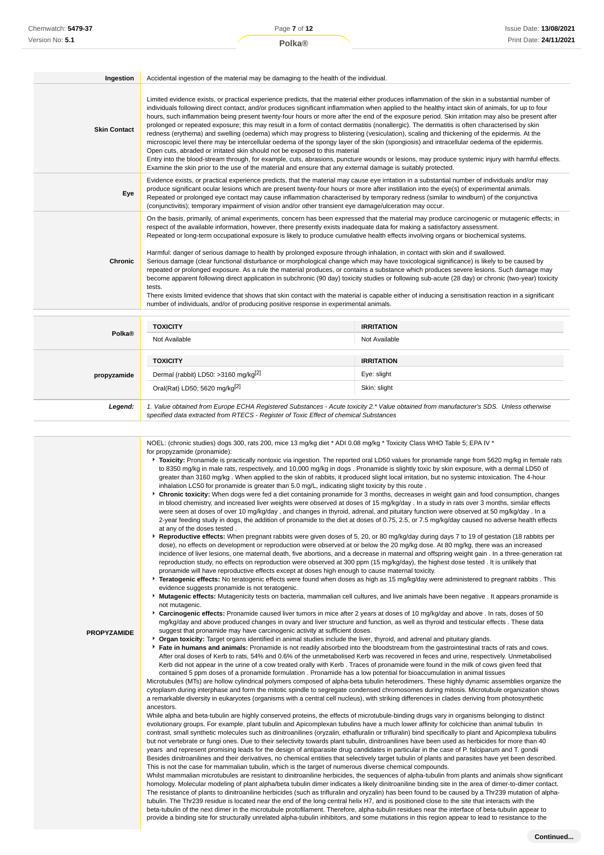| Ingestion           | Accidental ingestion of the material may be damaging to the health of the individual.                                                                                                                                                                                                                                                                                                                                                                                                                                                                                                                                                                                                                                                                                                                                                                                                                                                                                                                                                                                                                                                                                                                                                                          |                                    |
|---------------------|----------------------------------------------------------------------------------------------------------------------------------------------------------------------------------------------------------------------------------------------------------------------------------------------------------------------------------------------------------------------------------------------------------------------------------------------------------------------------------------------------------------------------------------------------------------------------------------------------------------------------------------------------------------------------------------------------------------------------------------------------------------------------------------------------------------------------------------------------------------------------------------------------------------------------------------------------------------------------------------------------------------------------------------------------------------------------------------------------------------------------------------------------------------------------------------------------------------------------------------------------------------|------------------------------------|
| <b>Skin Contact</b> | Limited evidence exists, or practical experience predicts, that the material either produces inflammation of the skin in a substantial number of<br>individuals following direct contact, and/or produces significant inflammation when applied to the healthy intact skin of animals, for up to four<br>hours, such inflammation being present twenty-four hours or more after the end of the exposure period. Skin irritation may also be present after<br>prolonged or repeated exposure; this may result in a form of contact dermatitis (nonallergic). The dermatitis is often characterised by skin<br>redness (erythema) and swelling (oedema) which may progress to blistering (vesiculation), scaling and thickening of the epidermis. At the<br>microscopic level there may be intercellular oedema of the spongy layer of the skin (spongiosis) and intracellular oedema of the epidermis.<br>Open cuts, abraded or irritated skin should not be exposed to this material<br>Entry into the blood-stream through, for example, cuts, abrasions, puncture wounds or lesions, may produce systemic injury with harmful effects.<br>Examine the skin prior to the use of the material and ensure that any external damage is suitably protected.       |                                    |
| Eye                 | Evidence exists, or practical experience predicts, that the material may cause eye irritation in a substantial number of individuals and/or may<br>produce significant ocular lesions which are present twenty-four hours or more after instillation into the eye(s) of experimental animals.<br>Repeated or prolonged eye contact may cause inflammation characterised by temporary redness (similar to windburn) of the conjunctiva<br>(conjunctivitis); temporary impairment of vision and/or other transient eye damage/ulceration may occur.                                                                                                                                                                                                                                                                                                                                                                                                                                                                                                                                                                                                                                                                                                              |                                    |
| <b>Chronic</b>      | On the basis, primarily, of animal experiments, concern has been expressed that the material may produce carcinogenic or mutagenic effects; in<br>respect of the available information, however, there presently exists inadequate data for making a satisfactory assessment.<br>Repeated or long-term occupational exposure is likely to produce cumulative health effects involving organs or biochemical systems.<br>Harmful: danger of serious damage to health by prolonged exposure through inhalation, in contact with skin and if swallowed.<br>Serious damage (clear functional disturbance or morphological change which may have toxicological significance) is likely to be caused by<br>repeated or prolonged exposure. As a rule the material produces, or contains a substance which produces severe lesions. Such damage may<br>become apparent following direct application in subchronic (90 day) toxicity studies or following sub-acute (28 day) or chronic (two-year) toxicity<br>tests.<br>There exists limited evidence that shows that skin contact with the material is capable either of inducing a sensitisation reaction in a significant<br>number of individuals, and/or of producing positive response in experimental animals. |                                    |
| Polka®              | <b>TOXICITY</b><br>Not Available                                                                                                                                                                                                                                                                                                                                                                                                                                                                                                                                                                                                                                                                                                                                                                                                                                                                                                                                                                                                                                                                                                                                                                                                                               | <b>IRRITATION</b><br>Not Available |
|                     | <b>TOXICITY</b>                                                                                                                                                                                                                                                                                                                                                                                                                                                                                                                                                                                                                                                                                                                                                                                                                                                                                                                                                                                                                                                                                                                                                                                                                                                | <b>IRRITATION</b>                  |

| propyzamide | Dermal (rabbit) LD50: >3160 mg/kg <sup>[2]</sup>                                                                                                                                                                                | Eye: slight  |
|-------------|---------------------------------------------------------------------------------------------------------------------------------------------------------------------------------------------------------------------------------|--------------|
|             | Oral(Rat) LD50; 5620 mg/kg <sup>[2]</sup>                                                                                                                                                                                       | Skin: slight |
| Legend:     | 1. Value obtained from Europe ECHA Registered Substances - Acute toxicity 2.* Value obtained from manufacturer's SDS. Unless otherwise<br>specified data extracted from RTECS - Register of Toxic Effect of chemical Substances |              |

|                    | NOEL: (chronic studies) dogs 300, rats 200, mice 13 mg/kg diet * ADI 0.08 mg/kg * Toxicity Class WHO Table 5; EPA IV *<br>for propyzamide (pronamide):<br><b>* Toxicity:</b> Pronamide is practically nontoxic via ingestion. The reported oral LD50 values for pronamide range from 5620 mg/kg in female rats<br>to 8350 mg/kg in male rats, respectively, and 10,000 mg/kg in dogs. Pronamide is slightly toxic by skin exposure, with a dermal LD50 of<br>greater than 3160 mg/kg. When applied to the skin of rabbits, it produced slight local irritation, but no systemic intoxication. The 4-hour<br>inhalation LC50 for pronamide is greater than 5.0 mg/L, indicating slight toxicity by this route.<br>▶ Chronic toxicity: When dogs were fed a diet containing pronamide for 3 months, decreases in weight gain and food consumption, changes<br>in blood chemistry, and increased liver weights were observed at doses of 15 mg/kg/day. In a study in rats over 3 months, similar effects<br>were seen at doses of over 10 mg/kg/day, and changes in thyroid, adrenal, and pituitary function were observed at 50 mg/kg/day. In a<br>2-year feeding study in dogs, the addition of pronamide to the diet at doses of 0.75, 2.5, or 7.5 mg/kg/day caused no adverse health effects<br>at any of the doses tested.<br>► Reproductive effects: When pregnant rabbits were given doses of 5, 20, or 80 mg/kg/day during days 7 to 19 of gestation (18 rabbits per<br>dose), no effects on development or reproduction were observed at or below the 20 mg/kg dose. At 80 mg/kg, there was an increased<br>incidence of liver lesions, one maternal death, five abortions, and a decrease in maternal and offspring weight gain. In a three-generation rat<br>reproduction study, no effects on reproduction were observed at 300 ppm (15 mg/kg/day), the highest dose tested. It is unlikely that                                                                                                                                                                                                                                                                                                                                                                                                                                                                                                                                                                                                                                                                                                                                                                                                                                       |
|--------------------|-------------------------------------------------------------------------------------------------------------------------------------------------------------------------------------------------------------------------------------------------------------------------------------------------------------------------------------------------------------------------------------------------------------------------------------------------------------------------------------------------------------------------------------------------------------------------------------------------------------------------------------------------------------------------------------------------------------------------------------------------------------------------------------------------------------------------------------------------------------------------------------------------------------------------------------------------------------------------------------------------------------------------------------------------------------------------------------------------------------------------------------------------------------------------------------------------------------------------------------------------------------------------------------------------------------------------------------------------------------------------------------------------------------------------------------------------------------------------------------------------------------------------------------------------------------------------------------------------------------------------------------------------------------------------------------------------------------------------------------------------------------------------------------------------------------------------------------------------------------------------------------------------------------------------------------------------------------------------------------------------------------------------------------------------------------------------------------------------------------------------------------------------------------------------------------------------------------------------------------------------------------------------------------------------------------------------------------------------------------------------------------------------------------------------------------------------------------------------------------------------------------------------------------------------------------------------------------------------------------------------------------------------------------------------------------------------------------------------------------------------|
| <b>PROPYZAMIDE</b> | pronamide will have reproductive effects except at doses high enough to cause maternal toxicity.<br><b>Feratogenic effects:</b> No teratogenic effects were found when doses as high as 15 mg/kg/day were administered to pregnant rabbits. This<br>evidence suggests pronamide is not teratogenic.<br>Mutagenic effects: Mutagenicity tests on bacteria, mammalian cell cultures, and live animals have been negative . It appears pronamide is<br>not mutagenic.<br>► Carcinogenic effects: Pronamide caused liver tumors in mice after 2 years at doses of 10 mg/kg/day and above . In rats, doses of 50<br>mg/kg/day and above produced changes in ovary and liver structure and function, as well as thyroid and testicular effects. These data<br>suggest that pronamide may have carcinogenic activity at sufficient doses.<br>• Organ toxicity: Target organs identified in animal studies include the liver, thyroid, and adrenal and pituitary glands.<br>Fate in humans and animals: Pronamide is not readily absorbed into the bloodstream from the gastrointestinal tracts of rats and cows.<br>After oral doses of Kerb to rats, 54% and 0.6% of the unmetabolised Kerb was recovered in feces and urine, respectively. Unmetabolised<br>Kerb did not appear in the urine of a cow treated orally with Kerb. Traces of pronamide were found in the milk of cows given feed that<br>contained 5 ppm doses of a pronamide formulation. Pronamide has a low potential for bioaccumulation in animal tissues<br>Microtubules (MTs) are hollow cylindrical polymers composed of alpha-beta tubulin heterodimers. These highly dynamic assemblies organize the<br>cytoplasm during interphase and form the mitotic spindle to segregate condensed chromosomes during mitosis. Microtubule organization shows<br>a remarkable diversity in eukaryotes (organisms with a central cell nucleus), with striking differences in clades deriving from photosynthetic<br>ancestors.<br>While alpha and beta-tubulin are highly conserved proteins, the effects of microtubule-binding drugs vary in organisms belonging to distinct<br>evolutionary groups. For example, plant tubulin and Apicomplexan tubulins have a much lower affinity for colchicine than animal tubulin In<br>contrast, small synthetic molecules such as dinitroanilines (oryzalin, ethafluralin or trifluralin) bind specifically to plant and Apicomplexa tubulins<br>but not vertebrate or fungi ones. Due to their selectivity towards plant tubulin, dinitroanilines have been used as herbicides for more than 40<br>years and represent promising leads for the design of antiparasite drug candidates in particular in the case of P. falciparum and T. gondii |
|                    | Besides dinitroanilines and their derivatives, no chemical entities that selectively target tubulin of plants and parasites have yet been described.<br>This is not the case for mammalian tubulin, which is the target of numerous diverse chemical compounds.<br>Whilst mammalian microtubules are resistant to dinitroaniline herbicides, the sequences of alpha-tubulin from plants and animals show significant<br>homology. Molecular modeling of plant alpha/beta tubulin dimer indicates a likely dinitroaniline binding site in the area of dimer-to-dimer contact.<br>The resistance of plants to dinitroaniline herbicides (such as trifluralin and oryzalin) has been found to be caused by a Thr239 mutation of alpha-<br>tubulin. The Thr239 residue is located near the end of the long central helix H7, and is positioned close to the site that interacts with the<br>beta-tubulin of the next dimer in the microtubule protofilament. Therefore, alpha-tubulin residues near the interface of beta-tubulin appear to<br>provide a binding site for structurally unrelated alpha-tubulin inhibitors, and some mutations in this region appear to lead to resistance to the                                                                                                                                                                                                                                                                                                                                                                                                                                                                                                                                                                                                                                                                                                                                                                                                                                                                                                                                                                                                                                                                                                                                                                                                                                                                                                                                                                                                                                                                                                                                                    |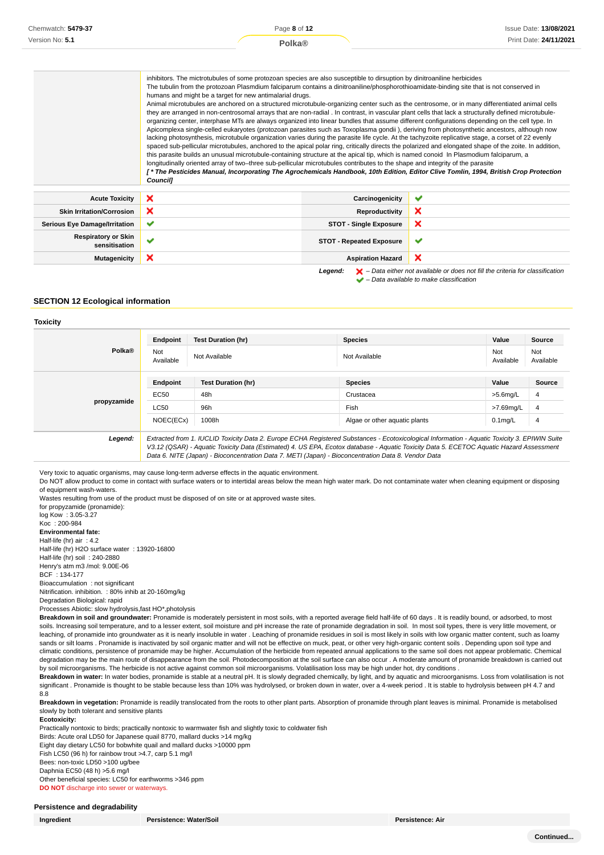| Chemwatch: 5479-37 | Page 8 of 12                                                                                                                                                                                                                                                                                                                                                                                                                                                                                                                                                                                                                                                                                                                                                                                                                                                                                                                                                                                                                                                                                                                                                                                                                                                                                                                                                                                                                                                                                                                                                                                                                                                                                  | <b>Issue Date: 13/08/2021</b> |
|--------------------|-----------------------------------------------------------------------------------------------------------------------------------------------------------------------------------------------------------------------------------------------------------------------------------------------------------------------------------------------------------------------------------------------------------------------------------------------------------------------------------------------------------------------------------------------------------------------------------------------------------------------------------------------------------------------------------------------------------------------------------------------------------------------------------------------------------------------------------------------------------------------------------------------------------------------------------------------------------------------------------------------------------------------------------------------------------------------------------------------------------------------------------------------------------------------------------------------------------------------------------------------------------------------------------------------------------------------------------------------------------------------------------------------------------------------------------------------------------------------------------------------------------------------------------------------------------------------------------------------------------------------------------------------------------------------------------------------|-------------------------------|
| Version No: 5.1    | Polka@                                                                                                                                                                                                                                                                                                                                                                                                                                                                                                                                                                                                                                                                                                                                                                                                                                                                                                                                                                                                                                                                                                                                                                                                                                                                                                                                                                                                                                                                                                                                                                                                                                                                                        | Print Date: 24/11/2021        |
|                    | inhibitors. The mictrotubules of some protozoan species are also susceptible to dirsuption by dinitroaniline herbicides<br>The tubulin from the protozoan Plasmdium falciparum contains a dinitroaniline/phosphorothioamidate-binding site that is not conserved in<br>humans and might be a target for new antimalarial drugs.<br>Animal microtubules are anchored on a structured microtubule-organizing center such as the centrosome, or in many differentiated animal cells<br>they are arranged in non-centrosomal arrays that are non-radial. In contrast, in vascular plant cells that lack a structurally defined microtubule-<br>organizing center, interphase MTs are always organized into linear bundles that assume different configurations depending on the cell type. In<br>Apicomplexa single-celled eukaryotes (protozoan parasites such as Toxoplasma gondii), deriving from photosynthetic ancestors, although now<br>lacking photosynthesis, microtubule organization varies during the parasite life cycle. At the tachyzoite replicative stage, a corset of 22 evenly<br>spaced sub-pellicular microtubules, anchored to the apical polar ring, critically directs the polarized and elongated shape of the zoite. In addition,<br>this parasite builds an unusual microtubule-containing structure at the apical tip, which is named conoid In Plasmodium falciparum, a<br>longitudinally oriented array of two-three sub-pellicular microtubules contributes to the shape and integrity of the parasite<br>f * The Pesticides Manual, Incorporating The Agrochemicals Handbook, 10th Edition, Editor Clive Tomlin, 1994, British Crop Protection<br><b>Councill</b> |                               |

| <b>Acute Toxicity</b>                       | × | Carcinogenicity                 | u                                                                                                  |
|---------------------------------------------|---|---------------------------------|----------------------------------------------------------------------------------------------------|
| <b>Skin Irritation/Corrosion</b>            | ⌒ | Reproductivity                  |                                                                                                    |
| <b>Serious Eye Damage/Irritation</b>        | ✔ | <b>STOT - Single Exposure</b>   | л                                                                                                  |
| <b>Respiratory or Skin</b><br>sensitisation |   | <b>STOT - Repeated Exposure</b> | $\overline{\phantom{a}}$                                                                           |
| Mutagenicity                                | × | <b>Aspiration Hazard</b>        | ж                                                                                                  |
|                                             |   | Leaend:                         | $\blacktriangleright$ - Data either not available or does not fill the criteria for classification |

– Data available to make classification

#### **SECTION 12 Ecological information**

#### **Toxicity**

|                    | Endpoint         | <b>Test Duration (hr)</b>                                                                                                                                                                                                                                                                | <b>Species</b>                | Value            | Source           |
|--------------------|------------------|------------------------------------------------------------------------------------------------------------------------------------------------------------------------------------------------------------------------------------------------------------------------------------------|-------------------------------|------------------|------------------|
| Polka <sup>®</sup> | Not<br>Available | Not Available                                                                                                                                                                                                                                                                            | Not Available                 | Not<br>Available | Not<br>Available |
|                    | Endpoint         | <b>Test Duration (hr)</b>                                                                                                                                                                                                                                                                | <b>Species</b>                | Value            | Source           |
|                    | EC50             | 48h                                                                                                                                                                                                                                                                                      | Crustacea                     | $>5.6$ mg/L      | 4                |
| propyzamide        | <b>LC50</b>      | 96h                                                                                                                                                                                                                                                                                      | Fish                          | >7.69mg/L        | $\overline{4}$   |
|                    | NOEC(ECx)        | 1008h                                                                                                                                                                                                                                                                                    | Algae or other aquatic plants | $0.1$ mg/L       | $\overline{4}$   |
| Legend:            |                  | Extracted from 1. IUCLID Toxicity Data 2. Europe ECHA Registered Substances - Ecotoxicological Information - Aquatic Toxicity 3. EPIWIN Suite<br>V3.12 (QSAR) - Aquatic Toxicity Data (Estimated) 4. US EPA, Ecotox database - Aquatic Toxicity Data 5. ECETOC Aquatic Hazard Assessment |                               |                  |                  |

Data 6. NITE (Japan) - Bioconcentration Data 7. METI (Japan) - Bioconcentration Data 8. Vendor Data

Very toxic to aquatic organisms, may cause long-term adverse effects in the aquatic environment.

Do NOT allow product to come in contact with surface waters or to intertidal areas below the mean high water mark. Do not contaminate water when cleaning equipment or disposing of equipment wash-waters.

Wastes resulting from use of the product must be disposed of on site or at approved waste sites.

for propyzamide (pronamide):

log Kow : 3.05-3.27 Koc : 200-984 **Environmental fate:** Half-life (hr) air : 4.2 Half-life (hr) H2O surface water : 13920-16800 Half-life (hr) soil : 240-2880 Henry's atm m3 /mol: 9.00E-06 BCF : 134-177 Bioaccumulation : not significant

Nitrification. inhibition. : 80% inhib at 20-160mg/kg Degradation Biological: rapid

Processes Abiotic: slow hydrolysis,fast HO\*,photolysis

**Breakdown in soil and groundwater:** Pronamide is moderately persistent in most soils, with a reported average field half-life of 60 days . It is readily bound, or adsorbed, to most soils. Increasing soil temperature, and to a lesser extent, soil moisture and pH increase the rate of pronamide degradation in soil. In most soil types, there is very little movement, or leaching, of pronamide into groundwater as it is nearly insoluble in water . Leaching of pronamide residues in soil is most likely in soils with low organic matter content, such as loamy sands or silt loams . Pronamide is inactivated by soil organic matter and will not be effective on muck, peat, or other very high-organic content soils . Depending upon soil type and climatic conditions, persistence of pronamide may be higher. Accumulation of the herbicide from repeated annual applications to the same soil does not appear problematic. Chemical degradation may be the main route of disappearance from the soil. Photodecomposition at the soil surface can also occur . A moderate amount of pronamide breakdown is carried out by soil microorganisms. The herbicide is not active against common soil microorganisms. Volatilisation loss may be high under hot, dry conditions .

Breakdown in water: In water bodies, pronamide is stable at a neutral pH. It is slowly degraded chemically, by light, and by aquatic and microorganisms. Loss from volatilisation is not significant . Pronamide is thought to be stable because less than 10% was hydrolysed, or broken down in water, over a 4-week period . It is stable to hydrolysis between pH 4.7 and 8.8

**Breakdown in vegetation:** Pronamide is readily translocated from the roots to other plant parts. Absorption of pronamide through plant leaves is minimal. Pronamide is metabolised slowly by both tolerant and sensitive plants

#### **Ecotoxicity:**

Practically nontoxic to birds; practically nontoxic to warmwater fish and slightly toxic to coldwater fish

Birds: Acute oral LD50 for Japanese quail 8770, mallard ducks >14 mg/kg

Eight day dietary LC50 for bobwhite quail and mallard ducks >10000 ppm

Fish LC50 (96 h) for rainbow trout >4.7, carp 5.1 mg/l

Bees: non-toxic LD50 >100 ug/bee Daphnia EC50 (48 h) >5.6 mg/l

Other beneficial species: LC50 for earthworms >346 ppm **DO NOT** discharge into sewer or waterways.

#### **Persistence and degradability**

**Ingredient Persistence: Water/Soil Persistence: Air**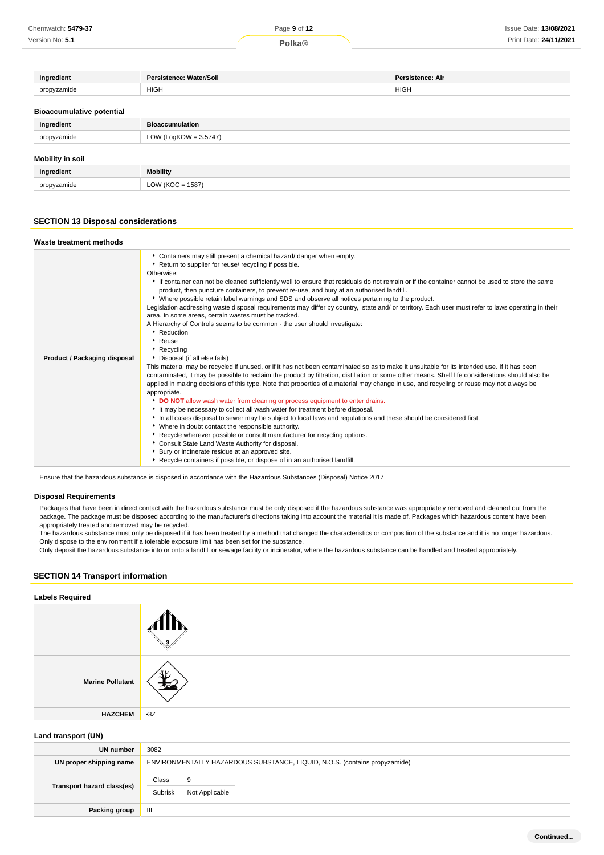| Chemwatch: 5479-37 | Page 9 of 12       | <b>Issue Date: 13/08/2021</b> |
|--------------------|--------------------|-------------------------------|
| Version No: 5.1    | Polka <sup>®</sup> | Print Date: 24/11/2021        |

| Ingredient                       | Persistence: Water/Soil  | <b>Persistence: Air</b> |
|----------------------------------|--------------------------|-------------------------|
| propyzamide                      | <b>HIGH</b>              | <b>HIGH</b>             |
|                                  |                          |                         |
| <b>Bioaccumulative potential</b> |                          |                         |
| Ingredient                       | <b>Bioaccumulation</b>   |                         |
| propyzamide                      | LOW (LogKOW = $3.5747$ ) |                         |
|                                  |                          |                         |
| Mobility in soil                 |                          |                         |
| Ingredient                       | <b>Mobility</b>          |                         |
| propyzamide                      | LOW ( $KOC = 1587$ )     |                         |

## **SECTION 13 Disposal considerations**

| Waste treatment methods      |                                                                                                                                                                                                                                                                                                                                                                                                                                                                                                                                                                                                                                                                                                                                                                                                                                                                                                                                                                                                                                                                                                                                                                                                                                                                                                                                                                                                                                                                                                                                                                                                                                                                                                                                                                                                                                                                                                                                       |
|------------------------------|---------------------------------------------------------------------------------------------------------------------------------------------------------------------------------------------------------------------------------------------------------------------------------------------------------------------------------------------------------------------------------------------------------------------------------------------------------------------------------------------------------------------------------------------------------------------------------------------------------------------------------------------------------------------------------------------------------------------------------------------------------------------------------------------------------------------------------------------------------------------------------------------------------------------------------------------------------------------------------------------------------------------------------------------------------------------------------------------------------------------------------------------------------------------------------------------------------------------------------------------------------------------------------------------------------------------------------------------------------------------------------------------------------------------------------------------------------------------------------------------------------------------------------------------------------------------------------------------------------------------------------------------------------------------------------------------------------------------------------------------------------------------------------------------------------------------------------------------------------------------------------------------------------------------------------------|
| Product / Packaging disposal | Containers may still present a chemical hazard/ danger when empty.<br>Return to supplier for reuse/ recycling if possible.<br>Otherwise:<br>If container can not be cleaned sufficiently well to ensure that residuals do not remain or if the container cannot be used to store the same<br>product, then puncture containers, to prevent re-use, and bury at an authorised landfill.<br>Mere possible retain label warnings and SDS and observe all notices pertaining to the product.<br>Legislation addressing waste disposal requirements may differ by country, state and/ or territory. Each user must refer to laws operating in their<br>area. In some areas, certain wastes must be tracked.<br>A Hierarchy of Controls seems to be common - the user should investigate:<br>Reduction<br>Reuse<br>Recycling<br>• Disposal (if all else fails)<br>This material may be recycled if unused, or if it has not been contaminated so as to make it unsuitable for its intended use. If it has been<br>contaminated, it may be possible to reclaim the product by filtration, distillation or some other means. Shelf life considerations should also be<br>applied in making decisions of this type. Note that properties of a material may change in use, and recycling or reuse may not always be<br>appropriate.<br>DO NOT allow wash water from cleaning or process equipment to enter drains.<br>It may be necessary to collect all wash water for treatment before disposal.<br>In all cases disposal to sewer may be subject to local laws and regulations and these should be considered first.<br>• Where in doubt contact the responsible authority.<br>▶ Recycle wherever possible or consult manufacturer for recycling options.<br>Consult State Land Waste Authority for disposal.<br>Bury or incinerate residue at an approved site.<br>Recycle containers if possible, or dispose of in an authorised landfill. |

Ensure that the hazardous substance is disposed in accordance with the Hazardous Substances (Disposal) Notice 2017

#### **Disposal Requirements**

Packages that have been in direct contact with the hazardous substance must be only disposed if the hazardous substance was appropriately removed and cleaned out from the package. The package must be disposed according to the manufacturer's directions taking into account the material it is made of. Packages which hazardous content have been appropriately treated and removed may be recycled.

The hazardous substance must only be disposed if it has been treated by a method that changed the characteristics or composition of the substance and it is no longer hazardous. Only dispose to the environment if a tolerable exposure limit has been set for the substance.

Only deposit the hazardous substance into or onto a landfill or sewage facility or incinerator, where the hazardous substance can be handled and treated appropriately.

## **SECTION 14 Transport information**

| <b>Labels Required</b>  |       |
|-------------------------|-------|
|                         |       |
| <b>Marine Pollutant</b> |       |
| <b>HAZCHEM</b>          | $-3Z$ |
|                         |       |

## **Land transport (UN)**

| UN number                  | 3082             |                                                                            |
|----------------------------|------------------|----------------------------------------------------------------------------|
| UN proper shipping name    |                  | ENVIRONMENTALLY HAZARDOUS SUBSTANCE, LIQUID, N.O.S. (contains propyzamide) |
| Transport hazard class(es) | Class<br>Subrisk | 9<br>Not Applicable                                                        |
| Packing group              | Ш                |                                                                            |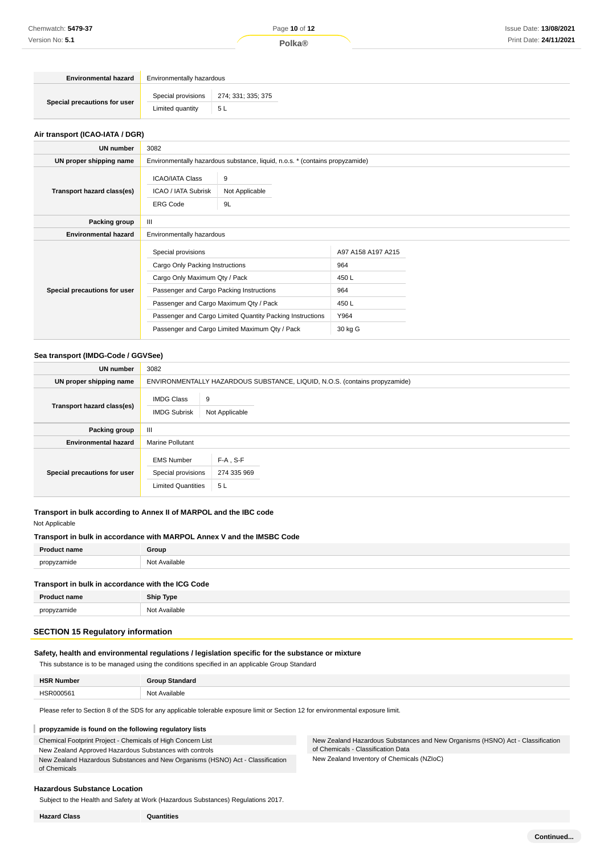| <b>Environmental hazard</b>  | Environmentally hazardous |                                       |
|------------------------------|---------------------------|---------------------------------------|
|                              |                           | Special provisions 274; 331; 335; 375 |
| Special precautions for user | Limited quantity          | 5 L                                   |

#### **Air transport (ICAO-IATA / DGR)**

| UN number                    | 3082                                                                                                                                                                                                                                                                                        |                           |                                                                     |  |
|------------------------------|---------------------------------------------------------------------------------------------------------------------------------------------------------------------------------------------------------------------------------------------------------------------------------------------|---------------------------|---------------------------------------------------------------------|--|
| UN proper shipping name      | Environmentally hazardous substance, liquid, n.o.s. * (contains propyzamide)                                                                                                                                                                                                                |                           |                                                                     |  |
| Transport hazard class(es)   | <b>ICAO/IATA Class</b><br>ICAO / IATA Subrisk<br><b>ERG Code</b>                                                                                                                                                                                                                            | 9<br>Not Applicable<br>9L |                                                                     |  |
| Packing group                | $\mathbf{III}$                                                                                                                                                                                                                                                                              |                           |                                                                     |  |
| <b>Environmental hazard</b>  | Environmentally hazardous                                                                                                                                                                                                                                                                   |                           |                                                                     |  |
| Special precautions for user | Special provisions<br>Cargo Only Packing Instructions<br>Cargo Only Maximum Qty / Pack<br>Passenger and Cargo Packing Instructions<br>Passenger and Cargo Maximum Qty / Pack<br>Passenger and Cargo Limited Quantity Packing Instructions<br>Passenger and Cargo Limited Maximum Qty / Pack |                           | A97 A158 A197 A215<br>964<br>450L<br>964<br>450L<br>Y964<br>30 kg G |  |

#### **Sea transport (IMDG-Code / GGVSee)**

| <b>UN number</b>             | 3082                                                                       |                                  |  |
|------------------------------|----------------------------------------------------------------------------|----------------------------------|--|
| UN proper shipping name      | ENVIRONMENTALLY HAZARDOUS SUBSTANCE, LIQUID, N.O.S. (contains propyzamide) |                                  |  |
| Transport hazard class(es)   | <b>IMDG Class</b><br><b>IMDG Subrisk</b>                                   | 9<br>Not Applicable              |  |
| <b>Packing group</b>         | $\mathbf{III}$                                                             |                                  |  |
| <b>Environmental hazard</b>  | <b>Marine Pollutant</b>                                                    |                                  |  |
| Special precautions for user | <b>EMS Number</b><br>Special provisions<br><b>Limited Quantities</b>       | $F-A$ , S-F<br>274 335 969<br>5L |  |

#### **Transport in bulk according to Annex II of MARPOL and the IBC code**

Not Applicable

#### **Transport in bulk in accordance with MARPOL Annex V and the IMSBC Code**

| <b>Droduc</b><br>me | $^{\circ}$ roun $^{\circ}$ |
|---------------------|----------------------------|
| propyzamide         | Nl∩t<br>ahl∆ ⊡             |

#### **Transport in bulk in accordance with the ICG Code**

| <b>Product name</b>    | <b>Ship Type</b>                |
|------------------------|---------------------------------|
| nronyzamide<br>carrive | t Available<br>NI∩'<br>.<br>___ |
|                        |                                 |

#### **SECTION 15 Regulatory information**

#### **Safety, health and environmental regulations / legislation specific for the substance or mixture**

This substance is to be managed using the conditions specified in an applicable Group Standard

| <b>HSR Number</b> | <b>Group Standard</b> |
|-------------------|-----------------------|
| HSR00056          | Not Available         |

Please refer to Section 8 of the SDS for any applicable tolerable exposure limit or Section 12 for environmental exposure limit.

#### T **propyzamide is found on the following regulatory lists**

Chemical Footprint Project - Chemicals of High Concern List

New Zealand Approved Hazardous Substances with controls

New Zealand Hazardous Substances and New Organisms (HSNO) Act - Classification of Chemicals

**Hazardous Substance Location**

Subject to the Health and Safety at Work (Hazardous Substances) Regulations 2017.

**Hazard Class Quantities**

New Zealand Hazardous Substances and New Organisms (HSNO) Act - Classification of Chemicals - Classification Data

New Zealand Inventory of Chemicals (NZIoC)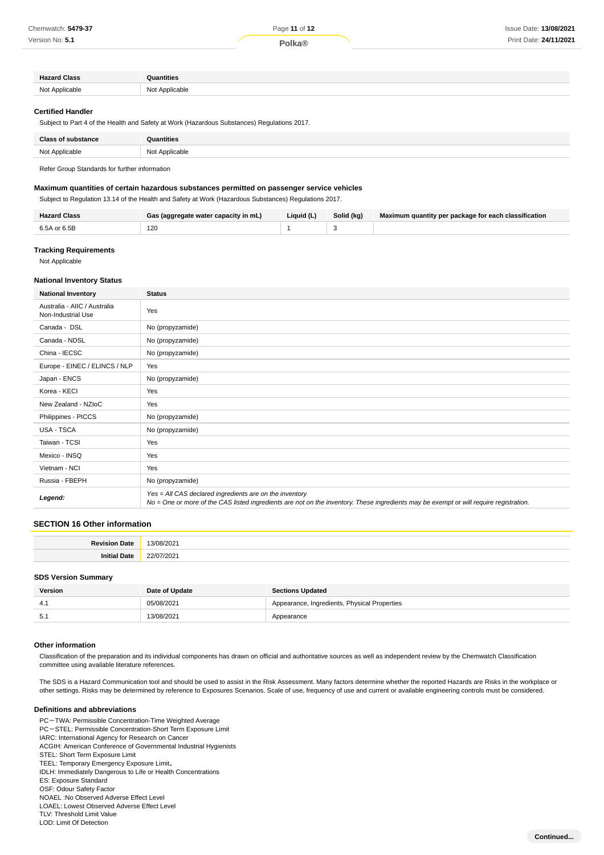Version No: **5.1**

| <b>Hazard Class</b>                 | <b>Quantities</b>      |
|-------------------------------------|------------------------|
| $N \cap$<br>Annlicable<br>י שי<br>. | Not<br>Applicable<br>. |

#### **Certified Handler**

Subject to Part 4 of the Health and Safety at Work (Hazardous Substances) Regulations 2017.

| <b>Class of substance</b> | Quantities     |
|---------------------------|----------------|
| Not Applicable            | Not Applicable |

Refer Group Standards for further information

#### **Maximum quantities of certain hazardous substances permitted on passenger service vehicles**

Subject to Regulation 13.14 of the Health and Safety at Work (Hazardous Substances) Regulations 2017.

| Hazard Class  | (aggregate water capacity in mL)<br>Ga: | Liauid (L) | Solid (kg) | Maximum quantity per package for each classification |
|---------------|-----------------------------------------|------------|------------|------------------------------------------------------|
| $\n  50 or 6$ | 120<br>$\sim$                           |            |            |                                                      |

#### **Tracking Requirements**

Not Applicable

#### **National Inventory Status**

| <b>National Inventory</b>                          | <b>Status</b>                                                                                                                                                                                     |
|----------------------------------------------------|---------------------------------------------------------------------------------------------------------------------------------------------------------------------------------------------------|
| Australia - AIIC / Australia<br>Non-Industrial Use | Yes                                                                                                                                                                                               |
| Canada - DSL                                       | No (propyzamide)                                                                                                                                                                                  |
| Canada - NDSL                                      | No (propyzamide)                                                                                                                                                                                  |
| China - IECSC                                      | No (propyzamide)                                                                                                                                                                                  |
| Europe - EINEC / ELINCS / NLP                      | Yes                                                                                                                                                                                               |
| Japan - ENCS                                       | No (propyzamide)                                                                                                                                                                                  |
| Korea - KECI                                       | Yes                                                                                                                                                                                               |
| New Zealand - NZIoC                                | Yes                                                                                                                                                                                               |
| Philippines - PICCS                                | No (propyzamide)                                                                                                                                                                                  |
| USA - TSCA                                         | No (propyzamide)                                                                                                                                                                                  |
| Taiwan - TCSI                                      | Yes                                                                                                                                                                                               |
| Mexico - INSQ                                      | Yes                                                                                                                                                                                               |
| Vietnam - NCI                                      | Yes                                                                                                                                                                                               |
| Russia - FBEPH                                     | No (propyzamide)                                                                                                                                                                                  |
| Legend:                                            | Yes = All CAS declared ingredients are on the inventory<br>No = One or more of the CAS listed ingredients are not on the inventory. These ingredients may be exempt or will require registration. |

#### **SECTION 16 Other information**

| - -<br>Date<br><b>Davicio</b> | -27113<br>uΖ |
|-------------------------------|--------------|
| late.                         |              |
| nı                            | 22/0         |
|                               | ʻZUZ         |
| ____                          | .            |

#### **SDS Version Summary**

| <b>Version</b> | Date of Update | <b>Sections Updated</b>                      |  |
|----------------|----------------|----------------------------------------------|--|
| 4.1            | 05/08/2021     | Appearance, Ingredients, Physical Properties |  |
| 5.1            | 13/08/2021     | Appearance                                   |  |

#### **Other information**

Classification of the preparation and its individual components has drawn on official and authoritative sources as well as independent review by the Chemwatch Classification committee using available literature references.

The SDS is a Hazard Communication tool and should be used to assist in the Risk Assessment. Many factors determine whether the reported Hazards are Risks in the workplace or other settings. Risks may be determined by reference to Exposures Scenarios. Scale of use, frequency of use and current or available engineering controls must be considered.

#### **Definitions and abbreviations**

PC-TWA: Permissible Concentration-Time Weighted Average PC-STEL: Permissible Concentration-Short Term Exposure Limit IARC: International Agency for Research on Cancer ACGIH: American Conference of Governmental Industrial Hygienists STEL: Short Term Exposure Limit TEEL: Temporary Emergency Exposure Limit。 IDLH: Immediately Dangerous to Life or Health Concentrations ES: Exposure Standard OSF: Odour Safety Factor NOAEL :No Observed Adverse Effect Level LOAEL: Lowest Observed Adverse Effect Level TLV: Threshold Limit Value

LOD: Limit Of Detection